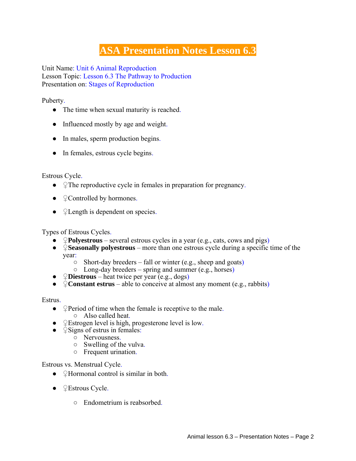## **ASA Presentation Notes Lesson 6.3**

Unit Name: Unit 6 Animal Reproduction Lesson Topic: Lesson 6.3 The Pathway to Production Presentation on: Stages of Reproduction

Puberty.

- The time when sexual maturity is reached.
- Influenced mostly by age and weight.
- In males, sperm production begins.
- In females, estrous cycle begins.

Estrous Cycle.

- ♀The reproductive cycle in females in preparation for pregnancy.
- $\bullet$   $\angle$  Controlled by hormones.
- **Quength is dependent on species.**

Types of Estrous Cycles.

- ♀**Polyestrous** several estrous cycles in a year (e.g., cats, cows and pigs)
- **♀Propriet Seasonally polyestrous** more than one estrous cycle during a specific time of the year:
	- Short-day breeders fall or winter (e.g., sheep and goats)
	- $\circ$  Long-day breeders spring and summer (e.g., horses)
- ♀**Diestrous** heat twice per year (e.g., dogs)
- ♀**Constant estrus**  able to conceive at almost any moment (e.g., rabbits)

Estrus.

- $\triangle$  Period of time when the female is receptive to the male. ○ Also called heat.
- ♀Estrogen level is high, progesterone level is low.
- $\bullet$   $\angle$  Signs of estrus in females:
	- Nervousness.
	- $\circ$  Swelling of the vulva.
	- Frequent urination.

Estrous vs. Menstrual Cycle.

- $\bullet$   $\mathcal{Q}$ Hormonal control is similar in both.
- $\bullet$  <del>P</del>Estrous Cycle.
	- Endometrium is reabsorbed.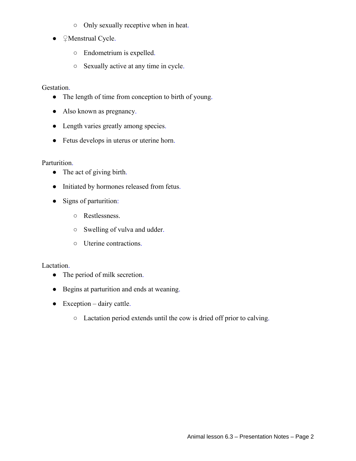- Only sexually receptive when in heat.
- ♀Menstrual Cycle.
	- Endometrium is expelled.
	- Sexually active at any time in cycle.

Gestation.

- The length of time from conception to birth of young.
- Also known as pregnancy.
- Length varies greatly among species.
- Fetus develops in uterus or uterine horn.

Parturition.

- The act of giving birth.
- Initiated by hormones released from fetus.
- Signs of parturition:
	- Restlessness.
	- Swelling of vulva and udder.
	- Uterine contractions.

Lactation.

- The period of milk secretion.
- Begins at parturition and ends at weaning.
- $\bullet$  Exception dairy cattle.
	- Lactation period extends until the cow is dried off prior to calving.